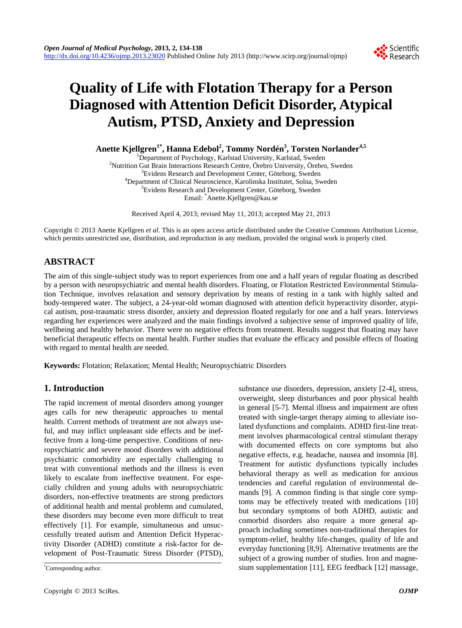

# **Quality of Life with Flotation Therapy for a Person Diagnosed with Attention Deficit Disorder, Atypical Autism, PTSD, Anxiety and Depression**

**Anette Kjellgren1\*, Hanna Edebol2 , Tommy Nordén<sup>3</sup> , Torsten Norlander4,5**

<sup>1</sup>Department of Psychology, Karlstad University, Karlstad, Sweden<br><sup>2</sup>Nutrition Gut Prein Intersetions Research Centre, Örebro University, Örebro <sup>2</sup>Nutrition Gut Brain Interactions Research Centre, Örebro University, Örebro, Sweden  ${}^{3}$ Evidens Research and Development Center, Göteborg, Sweden <sup>4</sup>Department of Clinical Neuroscience, Karolinska Institutet, Solna, Sweden <sup>5</sup>Evidens Research and Development Center, Göteborg, Sweden Email: \* Anette.Kjellgren@kau.se

Received April 4, 2013; revised May 11, 2013; accepted May 21, 2013

Copyright © 2013 Anette Kjellgren *et al*. This is an open access article distributed under the Creative Commons Attribution License, which permits unrestricted use, distribution, and reproduction in any medium, provided the original work is properly cited.

# **ABSTRACT**

The aim of this single-subject study was to report experiences from one and a half years of regular floating as described by a person with neuropsychiatric and mental health disorders. Floating, or Flotation Restricted Environmental Stimulation Technique, involves relaxation and sensory deprivation by means of resting in a tank with highly salted and body-tempered water. The subject, a 24-year-old woman diagnosed with attention deficit hyperactivity disorder, atypical autism, post-traumatic stress disorder, anxiety and depression floated regularly for one and a half years. Interviews regarding her experiences were analyzed and the main findings involved a subjective sense of improved quality of life, wellbeing and healthy behavior. There were no negative effects from treatment. Results suggest that floating may have beneficial therapeutic effects on mental health. Further studies that evaluate the efficacy and possible effects of floating with regard to mental health are needed.

**Keywords:** Flotation; Relaxation; Mental Health; Neuropsychiatric Disorders

# **1. Introduction**

The rapid increment of mental disorders among younger ages calls for new therapeutic approaches to mental health. Current methods of treatment are not always useful, and may inflict unpleasant side effects and be ineffective from a long-time perspective. Conditions of neuropsychiatric and severe mood disorders with additional psychiatric comorbidity are especially challenging to treat with conventional methods and the illness is even likely to escalate from ineffective treatment. For especially children and young adults with neuropsychiatric disorders, non-effective treatments are strong predictors of additional health and mental problems and cumulated, these disorders may become even more difficult to treat effectively [1]. For example, simultaneous and unsuccessfully treated autism and Attention Deficit Hyperactivity Disorder (ADHD) constitute a risk-factor for development of Post-Traumatic Stress Disorder (PTSD),

substance use disorders, depression, anxiety [2-4], stress, overweight, sleep disturbances and poor physical health in general [5-7]. Mental illness and impairment are often treated with single-target therapy aiming to alleviate isolated dysfunctions and complaints. ADHD first-line treatment involves pharmacological central stimulant therapy with documented effects on core symptoms but also negative effects, e.g. headache, nausea and insomnia [8]. Treatment for autistic dysfunctions typically includes behavioral therapy as well as medication for anxious tendencies and careful regulation of environmental demands [9]. A common finding is that single core symptoms may be effectively treated with medications [10] but secondary symptoms of both ADHD, autistic and comorbid disorders also require a more general approach including sometimes non-traditional therapies for symptom-relief, healthy life-changes, quality of life and everyday functioning [8,9]. Alternative treatments are the subject of a growing number of studies. Iron and magnesium supplementation [11], EEG feedback [12] massage,

Corresponding author.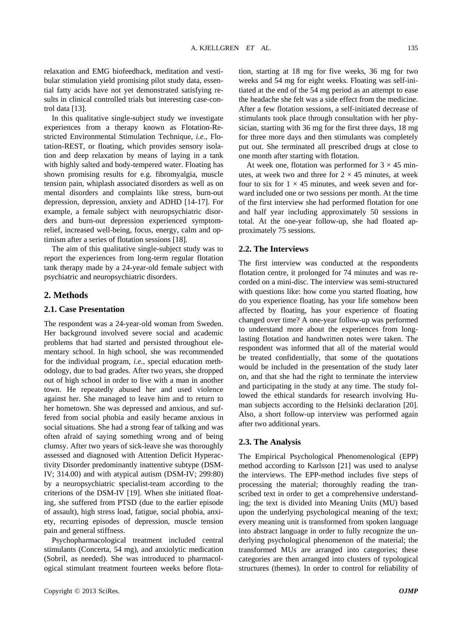relaxation and EMG biofeedback, meditation and vestibular stimulation yield promising pilot study data, essential fatty acids have not yet demonstrated satisfying results in clinical controlled trials but interesting case-control data [13].

In this qualitative single-subject study we investigate experiences from a therapy known as Flotation-Restricted Environmental Stimulation Technique, *i.e.*, Flotation-REST, or floating, which provides sensory isolation and deep relaxation by means of laying in a tank with highly salted and body-tempered water. Floating has shown promising results for e.g. fibromyalgia, muscle tension pain, whiplash associated disorders as well as on mental disorders and complaints like stress, burn-out depression, depression, anxiety and ADHD [14-17]. For example, a female subject with neuropsychiatric disorders and burn-out depression experienced symptomrelief, increased well-being, focus, energy, calm and optimism after a series of flotation sessions [18].

The aim of this qualitative single-subject study was to report the experiences from long-term regular flotation tank therapy made by a 24-year-old female subject with psychiatric and neuropsychiatric disorders.

### **2. Methods**

#### **2.1. Case Presentation**

The respondent was a 24-year-old woman from Sweden. Her background involved severe social and academic problems that had started and persisted throughout elementary school. In high school, she was recommended for the individual program, *i.e.*, special education methodology, due to bad grades. After two years, she dropped out of high school in order to live with a man in another town. He repeatedly abused her and used violence against her. She managed to leave him and to return to her hometown. She was depressed and anxious, and suffered from social phobia and easily became anxious in social situations. She had a strong fear of talking and was often afraid of saying something wrong and of being clumsy. After two years of sick-leave she was thoroughly assessed and diagnosed with Attention Deficit Hyperactivity Disorder predominantly inattentive subtype (DSM-IV; 314.00) and with atypical autism (DSM-IV; 299:80) by a neuropsychiatric specialist-team according to the criterions of the DSM-IV [19]. When she initiated floating, she suffered from PTSD (due to the earlier episode of assault), high stress load, fatigue, social phobia, anxiety, recurring episodes of depression, muscle tension pain and general stiffness.

Psychopharmacological treatment included central stimulants (Concerta, 54 mg), and anxiolytic medication (Sobril, as needed). She was introduced to pharmacological stimulant treatment fourteen weeks before flotation, starting at 18 mg for five weeks, 36 mg for two weeks and 54 mg for eight weeks. Floating was self-initiated at the end of the 54 mg period as an attempt to ease the headache she felt was a side effect from the medicine. After a few flotation sessions, a self-initiated decrease of stimulants took place through consultation with her physician, starting with 36 mg for the first three days, 18 mg for three more days and then stimulants was completely put out. She terminated all prescribed drugs at close to one month after starting with flotation.

At week one, flotation was performed for  $3 \times 45$  minutes, at week two and three for  $2 \times 45$  minutes, at week four to six for  $1 \times 45$  minutes, and week seven and forward included one or two sessions per month. At the time of the first interview she had performed flotation for one and half year including approximately 50 sessions in total. At the one-year follow-up, she had floated approximately 75 sessions.

#### **2.2. The Interviews**

The first interview was conducted at the respondents flotation centre, it prolonged for 74 minutes and was recorded on a mini-disc. The interview was semi-structured with questions like: how come you started floating, how do you experience floating, has your life somehow been affected by floating, has your experience of floating changed over time? A one-year follow-up was performed to understand more about the experiences from longlasting flotation and handwritten notes were taken. The respondent was informed that all of the material would be treated confidentially, that some of the quotations would be included in the presentation of the study later on, and that she had the right to terminate the interview and participating in the study at any time. The study followed the ethical standards for research involving Human subjects according to the Helsinki declaration [20]. Also, a short follow-up interview was performed again after two additional years.

#### **2.3. The Analysis**

The Empirical Psychological Phenomenological (EPP) method according to Karlsson [21] was used to analyse the interviews. The EPP-method includes five steps of processing the material; thoroughly reading the transcribed text in order to get a comprehensive understanding; the text is divided into Meaning Units (MU) based upon the underlying psychological meaning of the text; every meaning unit is transformed from spoken language into abstract language in order to fully recognize the underlying psychological phenomenon of the material; the transformed MUs are arranged into categories; these categories are then arranged into clusters of typological structures (themes). In order to control for reliability of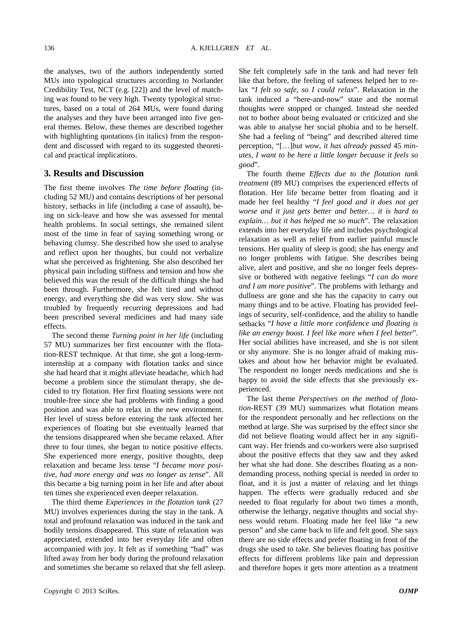the analyses, two of the authors independently sorted MUs into typological structures according to Norlander Credibility Test, NCT (e.g. [22]) and the level of matching was found to be very high. Twenty typological structures, based on a total of 264 MUs, were found during the analyses and they have been arranged into five general themes. Below, these themes are described together with highlighting quotations (in italics) from the respondent and discussed with regard to its suggested theoretical and practical implications.

# **3. Results and Discussion**

The first theme involves *The time before floating* (including 52 MU) and contains descriptions of her personal history, setbacks in life (including a case of assault), being on sick-leave and how she was assessed for mental health problems. In social settings, she remained silent most of the time in fear of saying something wrong or behaving clumsy. She described how she used to analyse and reflect upon her thoughts, but could not verbalize what she perceived as frightening. She also described her physical pain including stiffness and tension and how she believed this was the result of the difficult things she had been through. Furthermore, she felt tired and without energy, and everything she did was very slow. She was troubled by frequently recurring depressions and had been prescribed several medicines and had many side effects.

The second theme *Turning point in her life* (including 57 MU) summarizes her first encounter with the flotation-REST technique. At that time, she got a long-terminternship at a company with flotation tanks and since she had heard that it might alleviate headache, which had become a problem since the stimulant therapy, she decided to try flotation. Her first floating sessions were not trouble-free since she had problems with finding a good position and was able to relax in the new environment. Her level of stress before entering the tank affected her experiences of floating but she eventually learned that the tensions disappeared when she became relaxed. After three to four times, she began to notice positive effects. She experienced more energy, positive thoughts, deep relaxation and became less tense "*I became more positive*, *had more energy and was no longer as tense*". All this became a big turning point in her life and after about ten times she experienced even deeper relaxation.

The third theme *Experiences in the flotation tank* (27 MU) involves experiences during the stay in the tank. A total and profound relaxation was induced in the tank and bodily tensions disappeared. This state of relaxation was appreciated, extended into her everyday life and often accompanied with joy. It felt as if something "bad" was lifted away from her body during the profound relaxation and sometimes she became so relaxed that she fell asleep. She felt completely safe in the tank and had never felt like that before, the feeling of safeness helped her to relax "*I felt so safe*, *so I could relax*". Relaxation in the tank induced a "here-and-now" state and the normal thoughts were stopped or changed. Instead she needed not to bother about being evaluated or criticized and she was able to analyse her social phobia and to be herself. She had a feeling of "being" and described altered time perception, "[…]*but wow*, *it has already passed* 45 *minutes*, *I want to be here a little longer because it feels so good*".

The fourth theme *Effects due to the flotation tank treatment* (89 MU) comprises the experienced effects of flotation. Her life became better from floating and it made her feel healthy "*I feel good and it does not get worse and it just gets better and better… it is hard to explain… but it has helped me so much*". The relaxation extends into her everyday life and includes psychological relaxation as well as relief from earlier painful muscle tensions. Her quality of sleep is good; she has energy and no longer problems with fatigue. She describes being alive, alert and positive, and she no longer feels depressive or bothered with negative feelings "*I can do more and I am more positive*". The problems with lethargy and dullness are gone and she has the capacity to carry out many things and to be active. Floating has provided feelings of security, [self-confidence](http://tyda.se/search/self-confidence), and the ability to handle setbacks "*I have a little more confidence and floating is like an energy boost. I feel like more when I feel better*". Her social abilities have increased, and she is not silent or shy anymore. She is no longer afraid of making mistakes and about how her behavior might be evaluated. The respondent no longer needs medications and she is happy to avoid the side effects that she previously experienced.

The last theme *Perspectives on the method of flotation*-REST (39 MU) summarizes what flotation means for the respondent personally and her reflections on the method at large. She was surprised by the effect since she did not believe floating would affect her in any significant way. Her friends and co-workers were also surprised about the positive effects that they saw and they asked her what she had done. She describes floating as a nondemanding process, nothing special is needed in order to float, and it is just a matter of relaxing and let things happen. The effects were gradually reduced and she needed to float regularly for about two times a month, otherwise the lethargy, negative thoughts and social shyness would return. Floating made her feel like "a new person" and she came back to life and felt good. She says there are no side effects and prefer floating in front of the drugs she used to take. She believes floating has positive effects for different problems like pain and depression and therefore hopes it gets more attention as a treatment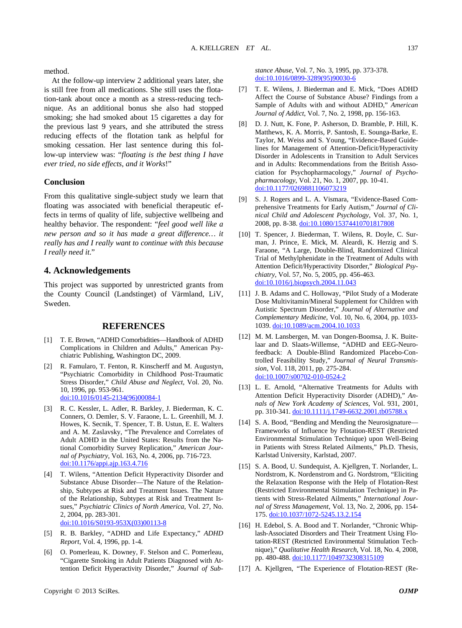method.

At the follow-up interview 2 additional years later, she is still free from all medications. She still uses the flotation-tank about once a month as a stress-reducing technique. As an additional bonus she also had stopped smoking; she had smoked about 15 cigarettes a day for the previous last 9 years, and she attributed the stress reducing effects of the flotation tank as helpful for smoking cessation. Her last sentence during this follow-up interview was: "*floating is the best thing I have ever tried*, *no side effects*, *and it Works*!"

#### **Conclusion**

From this qualitative single-subject study we learn that floating was associated with beneficial therapeutic effects in terms of quality of life, subjective wellbeing and healthy behavior. The respondent: "*feel good well like a new person and so it has made a great difference… it really has and I really want to continue with this because I really need it*."

## **4. Acknowledgements**

This project was supported by unrestricted grants from the County Council (Landstinget) of Värmland, LiV, Sweden.

## **REFERENCES**

- [1] T. E. Brown, "ADHD Comorbidities—Handbook of ADHD Complications in Children and Adults," American Psychiatric Publishing, Washington DC, 2009.
- [2] R. Famularo, T. Fenton, R. Kinscherff and M. Augustyn, "Psychiatric Comorbidity in Childhood Post-Traumatic Stress Disorder," *Child Abuse and Neglect*, Vol. 20, No. 10, 1996, pp. 953-961. [doi:10.1016/0145-2134\(96\)00084-1](http://dx.doi.org/10.1016/0145-2134(96)00084-1)
- [3] R. C. Kessler, L. Adler, R. Barkley, J. Biederman, K. C. Conners, O. Demler, S. V. Faraone, L. L. Greenhill, M. J. Howes, K. Secnik, T. Spencer, T. B. Ustun, E. E. Walters and A. M. Zaslavsky, "The Prevalence and Correlates of Adult ADHD in the United States: Results from the National Comorbidity Survey Replication," *American Journal of Psychiatry*, Vol. 163, No. 4, 2006, pp. 716-723. [doi:10.1176/appi.ajp.163.4.716](http://dx.doi.org/10.1176/appi.ajp.163.4.716)
- [4] T. Wilens, "Attention Deficit Hyperactivity Disorder and Substance Abuse Disorder—The Nature of the Relationship, Subtypes at Risk and Treatment Issues. The Nature of the Relationship, Subtypes at Risk and Treatment Issues," *Psychiatric Clinics of North America*, Vol. 27, No. 2, 2004, pp. 283-301. [doi:10.1016/S0193-953X\(03\)00113-8](http://dx.doi.org/10.1016/S0193-953X(03)00113-8)
- [5] R. B. Barkley, "ADHD and Life Expectancy," *ADHD Report*, Vol. 4, 1996, pp. 1-4.
- [6] O. Pomerleau, K. Downey, F. Stelson and C. Pomerleau, "Cigarette Smoking in Adult Patients Diagnosed with Attention Deficit Hyperactivity Disorder," *Journal of Sub-*

*stance Abuse*, Vol. 7, No. 3, 1995, pp. 373-378. [doi:10.1016/0899-3289\(95\)90030-6](http://dx.doi.org/10.1016/0899-3289(95)90030-6)

- [7] T. E. Wilens, J. Biederman and E. Mick, "Does ADHD Affect the Course of Substance Abuse? Findings from a Sample of Adults with and without ADHD," *American Journal of Addict*, Vol. 7, No. 2, 1998, pp. 156-163.
- [8] D. J. Nutt, K. Fone, P. Asherson, D. Bramble, P. Hill, K. Matthews, K. A. Morris, P. Santosh, E. Sounga-Barke, E. Taylor, M. Weiss and S. Young, "Evidence-Based Guidelines for Management of Attention-Deficit/Hyperactivity Disorder in Adolescents in Transition to Adult Services and in Adults: Recommendations from the British Association for Psychopharmacology," *Journal of Psychopharmacology*, Vol. 21, No. 1, 2007, pp. 10-41. [doi:10.1177/0269881106073219](http://dx.doi.org/10.1177/0269881106073219)
- [9] S. J. Rogers and L. A. Vismara, "Evidence-Based Comprehensive Treatments for Early Autism," *Journal of Clinical Child and Adolescent Psychology*, Vol. 37, No. 1, 2008, pp. 8-38. [doi:10.1080/15374410701817808](http://dx.doi.org/10.1080/15374410701817808)
- [10] T. Spencer, J. Biederman, T. Wilens, R. Doyle, C. Surman, J. Prince, E. Mick, M. Aleardi, K. Herzig and S. Faraone, "A Large, Double-Blind, Randomized Clinical Trial of Methylphenidate in the Treatment of Adults with Attention Deficit/Hyperactivity Disorder," *Biological Psychiatry*, Vol. 57, No. 5, 2005, pp. 456-463. [doi:10.1016/j.biopsych.2004.11.043](http://dx.doi.org/10.1016/j.biopsych.2004.11.043)
- [11] J. B. Adams and C. Holloway, "Pilot Study of a Moderate Dose Multivitamin/Mineral Supplement for Children with Autistic Spectrum Disorder," *Journal of Alternative and Complementary Medicine*, Vol. 10, No. 6, 2004, pp. 1033- 1039. [doi:10.1089/acm.2004.10.1033](http://dx.doi.org/10.1089/acm.2004.10.1033)
- [12] M. M. Lansbergen, M. van Dongen-Boomsa, J. K. Buitelaar and D. Slaats-Willemse, "ADHD and EEG-Neurofeedback: A Double-Blind Randomized Placebo-Controlled Feasibility Study," *Journal of Neural Transmission*, Vol. 118, 2011, pp. 275-284. [doi:10.1007/s00702-010-0524-2](http://dx.doi.org/10.1007/s00702-010-0524-2)
- [13] L. E. Arnold, "Alternative Treatments for Adults with Attention Deficit Hyperactivity Disorder (ADHD)," *Annals of New York Academy of Sciences*, Vol. 931, 2001, pp. 310-341. [doi:10.1111/j.1749-6632.2001.tb05788.x](http://dx.doi.org/10.1111/j.1749-6632.2001.tb05788.x)
- [14] S. A. Bood, "Bending and Mending the Neurosignature— Frameworks of Influence by Flotation-REST (Restricted Environmental Stimulation Technique) upon Well-Being in Patients with Stress Related Ailments," Ph.D. Thesis, Karlstad University, Karlstad, 2007.
- [15] S. A. Bood, U. Sundequist, A. Kjellgren, T. Norlander, L. Nordstrom, K. Nordenstrom and G. Nordstrom, "Eliciting the Relaxation Response with the Help of Flotation-Rest (Restricted Environmental Stimulation Technique) in Patients with Stress-Related Ailments," *International Journal of Stress Management*, Vol. 13, No. 2, 2006, pp. 154- 175. [doi:10.1037/1072-5245.13.2.154](http://dx.doi.org/10.1037/1072-5245.13.2.154)
- [16] H. Edebol, S. A. Bood and T. Norlander, "Chronic Whiplash-Associated Disorders and Their Treatment Using Flotation-REST (Restricted Environmental Stimulation Technique)," *Qualitative Health Research*, Vol. 18, No. 4, 2008, pp. 480-488. [doi:10.1177/1049732308315109](http://dx.doi.org/10.1177/1049732308315109)
- [17] A. Kjellgren, "The Experience of Flotation-REST (Re-